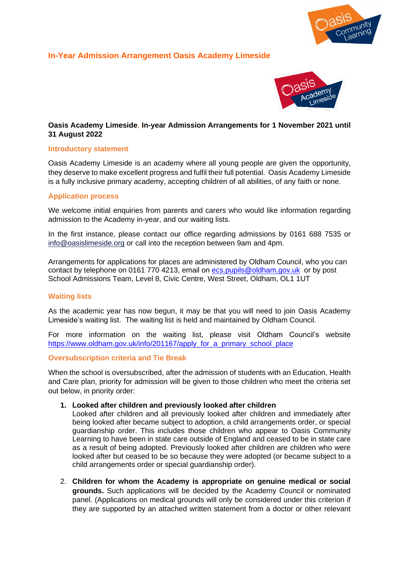

# **In-Year Admission Arrangement Oasis Academy Limeside**



# **Oasis Academy Limeside, In-year Admission Arrangements for 1 November 2021 until 31 August 2022**

### **Introductory statement**

Oasis Academy Limeside is an academy where all young people are given the opportunity, they deserve to make excellent progress and fulfil their full potential. Oasis Academy Limeside is a fully inclusive primary academy, accepting children of all abilities, of any faith or none.

### **Application process**

We welcome initial enquiries from parents and carers who would like information regarding admission to the Academy in-year, and our waiting lists.

In the first instance, please contact our office regarding admissions by 0161 688 7535 or [info@oasislimeside.org](mailto:info@oasislimeside.org) or call into the reception between 9am and 4pm.

Arrangements for applications for places are administered by Oldham Council, who you can contact by telephone on 0161 770 4213, email on [ecs.pupils@oldham.gov.uk](mailto:ecs.pupils@oldham.gov.uk) or by post School Admissions Team, Level 8, Civic Centre, West Street, Oldham, OL1 1UT

## **Waiting lists**

As the academic year has now begun, it may be that you will need to join Oasis Academy Limeside's waiting list. The waiting list is held and maintained by Oldham Council.

For more information on the waiting list, please visit Oldham Council's website [https://www.oldham.gov.uk/info/201167/apply\\_for\\_a\\_primary\\_school\\_place](https://www.oldham.gov.uk/info/201167/apply_for_a_primary_school_place)

#### **Oversubscription criteria and Tie Break**

When the school is oversubscribed, after the admission of students with an Education, Health and Care plan, priority for admission will be given to those children who meet the criteria set out below, in priority order:

#### **1. Looked after children and previously looked after children**

Looked after children and all previously looked after children and immediately after being looked after became subject to adoption, a child arrangements order, or special guardianship order. This includes those children who appear to Oasis Community Learning to have been in state care outside of England and ceased to be in state care as a result of being adopted. Previously looked after children are children who were looked after but ceased to be so because they were adopted (or became subject to a child arrangements order or special guardianship order).

2. **Children for whom the Academy is appropriate on genuine medical or social grounds.** Such applications will be decided by the Academy Council or nominated panel. (Applications on medical grounds will only be considered under this criterion if they are supported by an attached written statement from a doctor or other relevant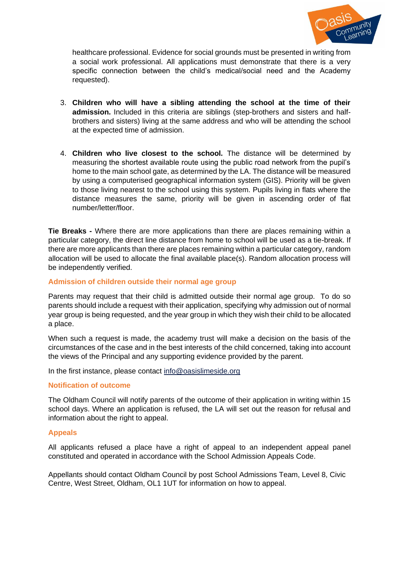

healthcare professional. Evidence for social grounds must be presented in writing from a social work professional. All applications must demonstrate that there is a very specific connection between the child's medical/social need and the Academy requested).

- 3. **Children who will have a sibling attending the school at the time of their admission.** Included in this criteria are siblings (step-brothers and sisters and halfbrothers and sisters) living at the same address and who will be attending the school at the expected time of admission.
- 4. **Children who live closest to the school.** The distance will be determined by measuring the shortest available route using the public road network from the pupil's home to the main school gate, as determined by the LA. The distance will be measured by using a computerised geographical information system (GIS). Priority will be given to those living nearest to the school using this system. Pupils living in flats where the distance measures the same, priority will be given in ascending order of flat number/letter/floor.

**Tie Breaks -** Where there are more applications than there are places remaining within a particular category, the direct line distance from home to school will be used as a tie-break. If there are more applicants than there are places remaining within a particular category, random allocation will be used to allocate the final available place(s). Random allocation process will be independently verified.

## **Admission of children outside their normal age group**

Parents may request that their child is admitted outside their normal age group. To do so parents should include a request with their application, specifying why admission out of normal year group is being requested, and the year group in which they wish their child to be allocated a place.

When such a request is made, the academy trust will make a decision on the basis of the circumstances of the case and in the best interests of the child concerned, taking into account the views of the Principal and any supporting evidence provided by the parent.

In the first instance, please contact [info@oasislimeside.org](mailto:info@oasislimeside.org)

#### **Notification of outcome**

The Oldham Council will notify parents of the outcome of their application in writing within 15 school days. Where an application is refused, the LA will set out the reason for refusal and information about the right to appeal.

#### **Appeals**

All applicants refused a place have a right of appeal to an independent appeal panel constituted and operated in accordance with the School Admission Appeals Code.

Appellants should contact Oldham Council by post School Admissions Team, Level 8, Civic Centre, West Street, Oldham, OL1 1UT for information on how to appeal.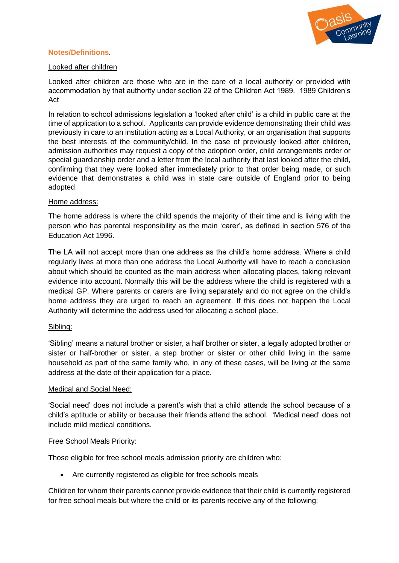

## **Notes/Definitions***.*

## Looked after children

Looked after children are those who are in the care of a local authority or provided with accommodation by that authority under section 22 of the Children Act 1989. 1989 Children's Act

In relation to school admissions legislation a 'looked after child' is a child in public care at the time of application to a school. Applicants can provide evidence demonstrating their child was previously in care to an institution acting as a Local Authority, or an organisation that supports the best interests of the community/child. In the case of previously looked after children, admission authorities may request a copy of the adoption order, child arrangements order or special guardianship order and a letter from the local authority that last looked after the child, confirming that they were looked after immediately prior to that order being made, or such evidence that demonstrates a child was in state care outside of England prior to being adopted.

### Home address:

The home address is where the child spends the majority of their time and is living with the person who has parental responsibility as the main 'carer', as defined in section 576 of the Education Act 1996.

The LA will not accept more than one address as the child's home address. Where a child regularly lives at more than one address the Local Authority will have to reach a conclusion about which should be counted as the main address when allocating places, taking relevant evidence into account. Normally this will be the address where the child is registered with a medical GP. Where parents or carers are living separately and do not agree on the child's home address they are urged to reach an agreement. If this does not happen the Local Authority will determine the address used for allocating a school place.

## Sibling:

'Sibling' means a natural brother or sister, a half brother or sister, a legally adopted brother or sister or half-brother or sister, a step brother or sister or other child living in the same household as part of the same family who, in any of these cases, will be living at the same address at the date of their application for a place.

#### Medical and Social Need:

'Social need' does not include a parent's wish that a child attends the school because of a child's aptitude or ability or because their friends attend the school. 'Medical need' does not include mild medical conditions.

#### Free School Meals Priority:

Those eligible for free school meals admission priority are children who:

• Are currently registered as eligible for free schools meals

Children for whom their parents cannot provide evidence that their child is currently registered for free school meals but where the child or its parents receive any of the following: